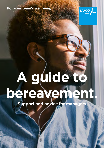

**For your team's wellbeing.** 

# **A guide to bereavement.**

**Support and advice for managers**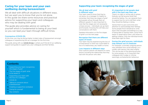## **wellbeing during bereavement Caring for your team and your own**

We all deal with difficult situations in different ways. but we want you to know that you're not alone. In this guide we share some resources and practical advice for supporting your team and colleagues who may be dealing with grief.

The guide also provides advice on caring for yourself which is fundamental to being at your best so you can lead your team through difficult times.

## Coronavirus (COVID-19)

At this time, you may be facing higher incident rates of bereavement amongst colleagues or experiencing this as a manager for the first time.

This guide, along with our **COVID-19 hub**, is where you'll find all of our wellbeing support and guides to support you, your colleagues and their families.

## **Contents**

- 3 Supporting your team: recognising the stages of grief
- 5 The five stages of grief: what to be aware of
- 6 Supporting your team with the loss of a colleague
- 6 COVID-19
- **9** Talking to someone about a bereavement
- 10 Creating a supportive workplace
- 12 Caring for yourself
- 14 Key contacts

## **Supporting your team: recognising the stages of grief**

## We all deal with grief in different ways

Your team need to know that they're not alone. As a manager it's helpful to remember that there are stages of grief and people will go through them at different speeds. It's also important to note that the stages are not necessarily a linear process – individuals can go back and forwards. Knowing this will help your conversations with them.

Detailed information on the five stages of grief is on the next page.

#### Recognise that there are different types of losses

Your team may be experiencing the loss of a loved person or their loss could relate to loss of a relationship, job, health or home.

## Loss impacts in different ways

How a person grieves will depend on many factors including the relationship that they had with the person who died.

## It's important to let people deal with it the best way they can

There's no right or wrong way to grieve. Nobody can tell anyone what they should be feeling. You can signpost them to support but try not to tell them what they should be feeling or doing.

Advise them to give some time and attention to acknowledge their feelings. Some people find it beneficial to write down their thoughts and feelings as a way of being able to express them, some find it easier to speak about them, and others by getting creative. Only the individual knows what feels right for them.

## During the grief process, individuals may behave out of character

For example, a normally outgoing person may withdraw from social settings, or a usually calm person may react angrily. This can be part of the grieving process for some people, so it's important that colleagues don't judge or criticise seemingly uncharacteristic behaviour.

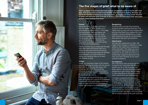

# The five stages of grief: what to be aware of

The five stages of grief describe how people emotionally come to terms with their loss. It's a tool to help us frame and identify what we may be feeling. But they are not to be literally understood as discrete 'steps' or 'stages' on some linear timeline of grief; not everyone goes through all of them or in the described order and some people move forward then back.

## Denial

Denial for many (not all) is the first of the five stages of grief. It helps us to emotionally survive the loss. In this stage, the world becomes meaningless and overwhelming. Life makes no sense. We are in a state of shock and denial. We go numb. We wonder how we can go on, if we can go on, and why we should go on (people may feel a sense of futility and hopelessness).

We try to find a way to simply get through each day. Denial and shock help us to adjust to and cope with the emotional enormity of the loss and make the feelings more bearable. An initial response of denial can therefore help us to 'pace' our feelings of grief.

#### **Anger**

Anger is a necessary stage of the healing process. We may be angry with the person who left us, or we may feel angry with ourselves. We might find ourselves shouting at people or showing irritation at everything from minor inconveniences to significant let downs.

This stage can happen at any time, even after going through a period of acceptance. The benefit of the grief stages is that they help you deal with the loss and move on. Anger can energize you to do just that.

#### Bargaining

At some point, we may find ourselves trying to reclaim what we have lost. This stage helps us cope with loss. People often promise God they'll live a better life if the tragedy is undone. Bargaining is a stage that sometimes brings up uncomfortable discussions that don't go anywhere.

#### Depression

We may feel unsafe and cry often. We might notice changes in appetite or sleep patterns. We might have unexplained aches and pains. This stage can occur in a breakup, following the death of a loved one, or any other loss, but it s a situationally triggered depression that may soon pass naturally as you move toward acceptance.

## Acceptance

We understand what we have lost and recognise how important that thing or person was to us. We no longer feel angry about it, and we are finished with bargaining to get it back. We are ready to start rebuilding our life and invest in other attachments and relationships.

Complete acceptance brings peace, but often, this stage is never complete. Instead, we might feel sad during death anniversaries or angry when we feel life would work out so much better if we just had that thing or person with us now. When we accept the loss fully, we have psychologically adjusted to and navigated the emotional stages of the grief optimally.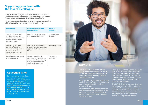## **Supporting your team with the loss of a colleague**

If you're dealing with the death of a team member, you'll need to consider the impact on the wider team and yourself. Please take a look at page 12 for more on self-care.

It's not always easy to detect when a colleague is struggling with grief, but here are some things to look out for:

| <b>Productivity</b>                                                                                                          | <b>Changes in behaviour</b><br>or demeanour                                                                                    | <b>Physical</b><br><b>indicators</b> |
|------------------------------------------------------------------------------------------------------------------------------|--------------------------------------------------------------------------------------------------------------------------------|--------------------------------------|
| Change in the person's<br>working patterns, for<br>example, frequent absence,<br>lateness or needing to<br>finish work early | Conduct out of character<br>with previous behaviour                                                                            | Fatigue/sleep<br>disorders           |
| Reduced quality and<br>quantity of work, for<br>example, missing deadlines<br>or a drop in usual<br>performance standards    | Changes in behaviour, for<br>example becoming anxious,<br>aggressive, depressed and<br>tearful                                 | Substance abuse                      |
| Spending a large amount<br>of hours working                                                                                  | Worried about family<br>members for no reason or<br>even worried about being<br>away from children and<br>other family members | Decreasing<br>appetite               |

## **Collective grief**

Some members of your team may not have lost anyone personally, however, they may still be affected by feelings of grief. This is due to a collective grief that we have experienced as a country due to COVID-19. These losses are equally valid and it s normal to grieve for a ' collective loss.



## **COVID-19**

Due to COVID-19, there have been tens of thousands of deaths in the UK. It's possible that your colleagues will have lost a family member, partner, friend or co-worker.

There have been restrictions placed upon us which can significantly impact the way your colleagues are able to grieve or process their loss.

It s important to be mindful that this can increase the psychological impact of the loss on your colleagues and adversely infuence their ability to move through the stages of grief.

You may find that colleagues losing loved ones in challenging circumstances have been bereaved suddenly and without much warning, eg they may have been unable to have personal contact or have been unable to visit their loved one in hospital or say goodbye.

it s not possible to follow important The COVID-19 restrictions mean that they may have also been unable to attend the funeral for their loved ones and have been unable to comfort family members in person. These restrictions can also mean cultural and religious ceremonies.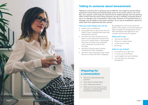

## **Talking to someone about bereavement**

Talking to someone who is grieving can be diffcult. You might be worried about saying the wrong thing and making things worse or be unsure what to say at all. But, your support could really be experienced as helpful (people who are grieving often confrm that the worst thing someone can say is nothing). Knowing what to say to a colleague who is bereaved is often hard. However, it's important that as a manager you do speak to your team member. Try to use an empathetic manner to make them feel supported and less anxious.

## Here are some things you can do:

- **EXPLACES** your condolences
- **EXEC** encourage them to take some time off (refer to your compassionate leave and bereavement policies)
- $\blacksquare$  ask them how they would like you to keep in touch and when the best time for you to contact them is. Remember, they may not want to be contacted much, especially during the first few days
- $\blacksquare$  ask them if they're open to being contacted by other colleagues
- $\blacksquare$  ask them what information they would like you to share with their colleagues

#### Be prepared for them to be upset and tearful. Allow plenty of time and space for them to speak. Encourage them to look after themselves and signpost to key contacts and services for support.

#### What not to say

- How are you doing?
- $\blacksquare$  They're in a better place
- I know how you feel
- $\blacksquare$  Be strong

## What to say instead

- $\blacksquare$  It's tough for you right now
- $\blacksquare$  I'm sorry you're suffering
- $\blacksquare$  I can imagine how you're feeling
- $\blacksquare$  I'm sorry that you are going through this

## **Preparing for a conversation**

- Choose an appropriate place and time
- $\blacksquare$  Think about confidentiality
- Don't make assumptions
- $\blacksquare$  Make sure you are aware of your company's compassionate leave and bereavement policies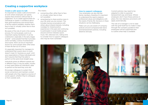## **Creating a supportive workplace**

## Create a safe space to talk

It's important to create a safe environment at work where employees can openly express their emotions without fear of judgement. Try to create opportunities for individuals to speak in confidence about their grief experiences and remind them of all the support available, whether that's face to face or virtually (when face to face isn't possible).

Be aware of the role of work in the coping process. For some people, work is an important coping mechanism. It can be a distraction, especially in the early stages of grief – some people fnd that it provides some normality, a sense of achievement and routine. Work can be an important anchor for some people when other areas of their life feel out of control.

It's especially important for managers to understand that a quick return to work doesn't mean it's 'business as usual'. Limit your expectations of these individuals and don't assume that they'll be able to perform at the same level straight away.

Individuals grieve at different speeds and in different ways. It may be weeks, months or even years before an individual is able to perform at the level they once did.

Encourage colleagues to sustain their social connections and maintain contact with people who they regard as sources of social support, whether they're colleagues or from outside work.

This means:

- connecting often, either face to face or virtually (when face to face isn't possible)
- **F** remembering to share positive news in your life when you do connect. This includes having conversations with others about shared interests, including nostalgia for shared positive experiences in the past and continuing to participate in social media groups around common interests (sport, music, flm, television etc.) taking time to consider how to support colleagues who may be more vulnerable

#### How to support colleagues

Your employees can also feel like family members, therefore it's important to understand the need to balance professional values and obligations with the needs of family life. Decisions in these situations can be challenging.

Make sure you are aware of company policies around compassionate leave and bereavement policies, including absence and pay.

Current policies may need to be adapted to refer to parental bereavement pay and leave. Where employers don't have these policies in place, the new statutory provisions will apply automatically.

The role of a manager is not to deal with the grief itself but to make it clear through the company guidance that employees will be supported and to outline what help is available.

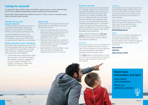## **Caring for yourself**

It's natural to feel a whole range of emotions during such an unprecedented time and it can be diffcult supporting someone dealing with bereavement.

Some days will be better than others for all of us. This is a time to practice being kind to yourself and to others.

#### Identify and use your support network

As well as family and friends, think about your wider work network, particularly people you trust and feel comfortable sharing your thoughts and feelings with.

Consider setting up check-ins with these people and use social media and technology to stay in touch. Remember, it's okay to ask for help from your manager.

#### Keep connected to your colleagues

Most likely, they're experiencing some of the same feelings that you are. Share your story with them and ask them to share theirs with you. It helps to remember that we are all in this together.

 $\blacksquare$  At times like these, showing each other that you care can be demonstrated in the smallest of ways, by suggesting time for a chat, for example. The smallest of things can make all the difference to someone's day.

## Take breaks

Leaders need to model good self-care and demonstrate the importance of rest and recovery to the team.

- $\blacksquare$  When you step away from work, truly step away. Appoint someone you trust to assume the leadership role and understand that it's okay to take a break from your emails.
- $\blacksquare$  Make sure that the person covering for you knows that whilst you might not be checking emails, you can be available on the phone if needed.
- Be disciplined in this and others in your team will get the message that adequate personal rest is a priority.

## Prioritise self-care

Taking care of your own emotional health as a manager will give you a head start in managing the difficult circumstances you may face. You'll know best about what works for you to keep you feeling well. Focus on whatever helps you and make time for these self-care activities where you can – you may feel guilty, but doing something that helps you to 'come down a gear' for even five or ten minutes can make a big difference in how you're feeling and give you more energy to help others. Be patient with yourself too.

Make a start by watching our self-care webinar. Here are a few more ideas on how you can take care of your physical and emotional wellbeing:

#### exercise

We know how busy you are so finding time for exercise might not feel like a priority right now, but exercise is not only good for your physical health, it also helps to manage anxiety and stress levels.

This **article** gives you some advice on how you can fit even a small amount of activity into your day by getting creative with your routine.

#### nutrition

It's important to have regular meals, to try and stick with healthy options and not to turn to comfort and convenience foods to keep you going. Try to make sure you have your five a day and remember to keep hydrated.

With normal routines out of sync, you might find yourself drinking more alcohol than usual. If you would like more information on this, you can speak with a nurse or GP or visit:

#### alcoholchange.org.uk

#### sleep

Make sure you are getting adequate rest and, as much as possible, maintain a consistent sleep schedule. Take brief self-care breaks when needed throughout the day. Here are some resources that could help:

sleep podcast

sleep tips

sleep recovery toolkit

## **Need more information and tips?**

Learn about self-compassion

Watch our wellbeing webinars

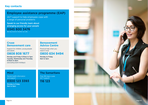## **Key contacts**

# **Employee assistance programme (EAP)**

24/7 support to help employees cope with a range of personal problems

Speak to our friendly team about arranging access for your people

**0345 600 3476** 

We may record or monitor our calls.

## **Cruse Bereavement care**

Support for children, young people and adults

# **0808 808 1677**

Monday and Friday 9.30am to 5pm Tuesday, Wednesday and Thursday 9.30am to 8pm (excluding bank holidays)

## **Bereavement Advice Centre**

Practical help when you need it most

## **0800 634 9494**

Monday to Friday 9am to 5pm

## **Mind**

Mental health information and support **0300 123 3393** 

Monday to Friday 9am to 6pm

## **The Samaritans**

Free 365 days a year, 24/7 support

**116 123**